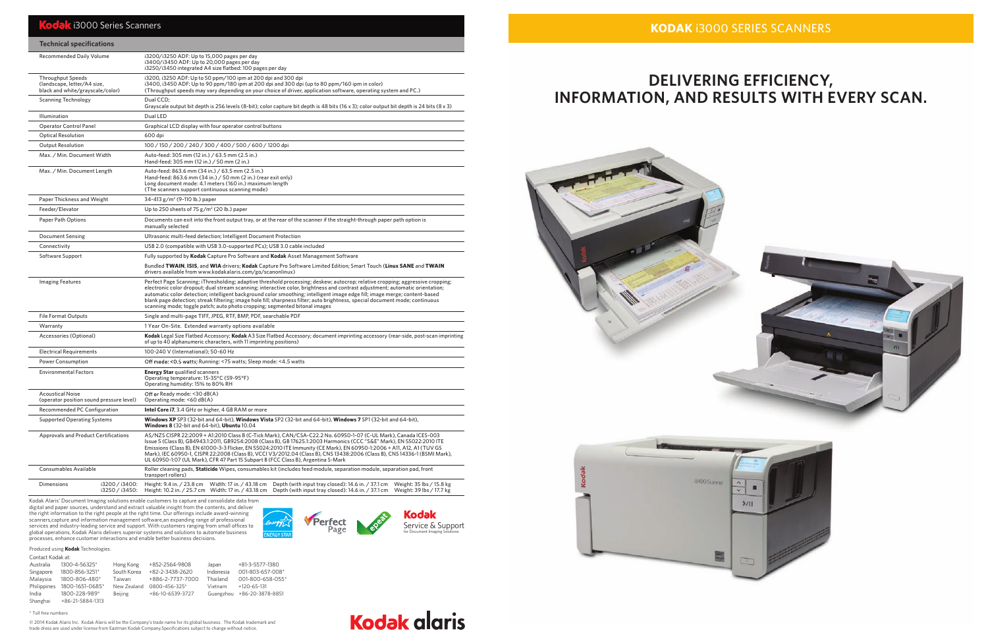# **DELIVERING EFFICIENCY, INFORMATION, AND RESULTS WITH EVERY SCAN.**

## **k** i3000 Series Scanners

| <b>Technical specifications</b>                                                             |                                                                                                                                                                                                                                                                                                                                                                                                                                                                                                                                                                                                              |  |  |  |  |
|---------------------------------------------------------------------------------------------|--------------------------------------------------------------------------------------------------------------------------------------------------------------------------------------------------------------------------------------------------------------------------------------------------------------------------------------------------------------------------------------------------------------------------------------------------------------------------------------------------------------------------------------------------------------------------------------------------------------|--|--|--|--|
| <b>Recommended Daily Volume</b>                                                             | i3200/i3250 ADF: Up to 15,000 pages per day<br>i3400/i3450 ADF: Up to 20,000 pages per day<br>i3250/i3450 integrated A4 size flatbed: 100 pages per day                                                                                                                                                                                                                                                                                                                                                                                                                                                      |  |  |  |  |
| <b>Throughput Speeds</b><br>(landscape, letter/A4 size,<br>black and white/grayscale/color) | i3200, i3250 ADF: Up to 50 ppm/100 ipm at 200 dpi and 300 dpi<br>i3400, i3450 ADF: Up to 90 ppm/180 ipm at 200 dpi and 300 dpi (up to 80 ppm/160 ipm in color)<br>(Throughput speeds may vary depending on your choice of driver, application software, operating system and PC.)                                                                                                                                                                                                                                                                                                                            |  |  |  |  |
| <b>Scanning Technology</b>                                                                  | Dual CCD;<br>Grayscale output bit depth is 256 levels (8-bit); color capture bit depth is 48 bits (16 x 3); color output bit depth is 24 bits (8 x 3)                                                                                                                                                                                                                                                                                                                                                                                                                                                        |  |  |  |  |
| Illumination                                                                                | Dual LED                                                                                                                                                                                                                                                                                                                                                                                                                                                                                                                                                                                                     |  |  |  |  |
| <b>Operator Control Panel</b>                                                               | Graphical LCD display with four operator control buttons<br>600 dpi                                                                                                                                                                                                                                                                                                                                                                                                                                                                                                                                          |  |  |  |  |
| <b>Optical Resolution</b>                                                                   |                                                                                                                                                                                                                                                                                                                                                                                                                                                                                                                                                                                                              |  |  |  |  |
| <b>Output Resolution</b>                                                                    | 100 / 150 / 200 / 240 / 300 / 400 / 500 / 600 / 1200 dpi                                                                                                                                                                                                                                                                                                                                                                                                                                                                                                                                                     |  |  |  |  |
| Max. / Min. Document Width                                                                  | Auto-feed: 305 mm (12 in.) / 63.5 mm (2.5 in.)<br>Hand-feed: 305 mm (12 in.) / 50 mm (2 in.)                                                                                                                                                                                                                                                                                                                                                                                                                                                                                                                 |  |  |  |  |
| Max. / Min. Document Length                                                                 | Auto-feed: 863.6 mm (34 in.) / 63.5 mm (2.5 in.)<br>Hand-feed: 863.6 mm (34 in.) / 50 mm (2 in.) (rear exit only)<br>Long document mode: 4.1 meters (160 in.) maximum length<br>(The scanners support continuous scanning mode)                                                                                                                                                                                                                                                                                                                                                                              |  |  |  |  |
| Paper Thickness and Weight                                                                  | 34-413 g/m <sup>2</sup> (9-110 lb.) paper                                                                                                                                                                                                                                                                                                                                                                                                                                                                                                                                                                    |  |  |  |  |
| Feeder/Elevator                                                                             | Up to 250 sheets of 75 $g/m^2$ (20 lb.) paper                                                                                                                                                                                                                                                                                                                                                                                                                                                                                                                                                                |  |  |  |  |
| Paper Path Options                                                                          | Documents can exit into the front output tray, or at the rear of the scanner if the straight-through paper path option is<br>manually selected                                                                                                                                                                                                                                                                                                                                                                                                                                                               |  |  |  |  |
| <b>Document Sensing</b>                                                                     | Ultrasonic multi-feed detection; Intelligent Document Protection                                                                                                                                                                                                                                                                                                                                                                                                                                                                                                                                             |  |  |  |  |
| Connectivity                                                                                | USB 2.0 (compatible with USB 3.0-supported PCs); USB 3.0 cable included                                                                                                                                                                                                                                                                                                                                                                                                                                                                                                                                      |  |  |  |  |
| Software Support                                                                            | Fully supported by Kodak Capture Pro Software and Kodak Asset Management Software                                                                                                                                                                                                                                                                                                                                                                                                                                                                                                                            |  |  |  |  |
|                                                                                             | Bundled TWAIN, ISIS, and WIA drivers; Kodak Capture Pro Software Limited Edition; Smart Touch (Linux SANE and TWAIN<br>drivers available from www.kodakalaris.com/go/scanonlinux)                                                                                                                                                                                                                                                                                                                                                                                                                            |  |  |  |  |
| <b>Imaging Features</b>                                                                     | Perfect Page Scanning; iThresholding; adaptive threshold processing; deskew; autocrop; relative cropping; aggressive cropping;<br>electronic color dropout; dual stream scanning; interactive color, brightness and contrast adjustment; automatic orientation;<br>automatic color detection; intelligent background color smoothing; intelligent image edge fill; image merge; content-based<br>blank page detection; streak filtering; image hole fill; sharpness filter; auto brightness, special document mode; continuous<br>scanning mode; toggle patch; auto photo cropping; segmented bitonal images |  |  |  |  |
| <b>File Format Outputs</b>                                                                  | Single and multi-page TIFF, JPEG, RTF, BMP, PDF, searchable PDF                                                                                                                                                                                                                                                                                                                                                                                                                                                                                                                                              |  |  |  |  |
| Warranty                                                                                    | 1 Year On-Site. Extended warranty options available                                                                                                                                                                                                                                                                                                                                                                                                                                                                                                                                                          |  |  |  |  |
| Accessories (Optional)                                                                      | Kodak Legal Size Flatbed Accessory; Kodak A3 Size Flatbed Accessory; document imprinting accessory (rear-side, post-scan imprinting<br>of up to 40 alphanumeric characters, with 11 imprinting positions)                                                                                                                                                                                                                                                                                                                                                                                                    |  |  |  |  |
| <b>Electrical Requirements</b>                                                              | 100-240 V (International); 50-60 Hz                                                                                                                                                                                                                                                                                                                                                                                                                                                                                                                                                                          |  |  |  |  |
| <b>Power Consumption</b>                                                                    | Off mode: < 0.5 watts; Running: < 75 watts; Sleep mode: < 4.5 watts                                                                                                                                                                                                                                                                                                                                                                                                                                                                                                                                          |  |  |  |  |
| <b>Environmental Factors</b>                                                                | <b>Energy Star</b> qualified scanners<br>Operating temperature: 15-35°C (59-95°F)<br>Operating humidity: 15% to 80% RH                                                                                                                                                                                                                                                                                                                                                                                                                                                                                       |  |  |  |  |
| <b>Acoustical Noise</b><br>(operator position sound pressure level)                         | Off or Ready mode: <30 dB(A)<br>Operating mode: <60 dB(A)                                                                                                                                                                                                                                                                                                                                                                                                                                                                                                                                                    |  |  |  |  |
| Recommended PC Configuration                                                                | <b>Intel Core i7, 3.4 GHz or higher, 4 GB RAM or more</b>                                                                                                                                                                                                                                                                                                                                                                                                                                                                                                                                                    |  |  |  |  |
| <b>Supported Operating Systems</b>                                                          | Windows XP SP3 (32-bit and 64-bit), Windows Vista SP2 (32-bit and 64-bit), Windows 7 SP1 (32-bit and 64-bit),<br><b>Windows 8</b> (32-bit and 64-bit), <b>Ubuntu</b> 10.04                                                                                                                                                                                                                                                                                                                                                                                                                                   |  |  |  |  |
| <b>Approvals and Product Certifications</b>                                                 | AS/NZS CISPR 22:2009 + A1:2010 Class B (C-Tick Mark), CAN/CSA-C22.2 No. 60950-1-07 (C-UL Mark), Canada ICES-003<br>Issue 5 (Class B), GB4943.1:2011, GB9254:2008 (Class B), GB 17625.1:2003 Harmonics (CCC "S&E" Mark), EN 55022:2010 ITE<br>Emissions (Class B), EN 61000-3-3 Flicker, EN 55024:2010 ITE Immunity (CE Mark), EN 60950-1:2006 + A11, A12, A1 (TUV GS<br>Mark), IEC 60950-1, CISPR 22:2008 (Class B), VCCI V3/2012.04 (Class B), CNS 13438:2006 (Class B), CNS 14336-1 (BSMI Mark),<br>UL 60950-1:07 (UL Mark), CFR 47 Part 15 Subpart B (FCC Class B), Argentina S-Mark                      |  |  |  |  |
| Consumables Available                                                                       | Roller cleaning pads, Staticide Wipes, consumables kit (includes feed module, separation module, separation pad, front<br>transport rollers)                                                                                                                                                                                                                                                                                                                                                                                                                                                                 |  |  |  |  |
| i3200 / i3400:<br>Dimensions<br>i3250 / i3450:                                              | Height: 9.4 in. / 23.8 cm<br>Width: 17 in. / 43.18 cm<br>Depth (with input tray closed): 14.6 in. / 37.1 cm<br>Weight: 35 lbs / 15.8 kg<br>Height: 10.2 in. / 25.7 cm Width: 17 in. / 43.18 cm<br>Depth (with input tray closed): 14.6 in. / 37.1 cm<br>Weight: 39 lbs / 17.7 kg                                                                                                                                                                                                                                                                                                                             |  |  |  |  |

### **Kodak Perfect** rengy for Document Imaging Solutions

Kodak Alaris' Document Imaging solutions enable customers to capture and consolidate data from digital and paper sources, understand and extract valuable insight from the contents, and deliver the right information to the right people at the right time. Our offerings include award-winning scanners,capture and information management software,an expanding range of professional services and industry-leading service and support. With customers ranging from small offices to





# **Kodak alaris**

global operations, Kodak Alaris delivers superior systems and solutions to automate business processes, enhance customer interactions and enable better business decisions.

© 2014 Kodak Alaris Inc. Kodak Alaris will be the Company's trade name for its global business. The Kodak trademark and trade dress are used under license from Eastman Kodak Company.Specifications subject to change without notice.

### \* Toll free numbers

| CUITLACLINUUAN ALI |                  |             |                  |           |                   |
|--------------------|------------------|-------------|------------------|-----------|-------------------|
| Australia          | 1300-4-56325*    | Hong Kong   | +852-2564-9808   | Japan     | $+81-3-5577-1380$ |
| Singapore          | 1800-856-3251*   | South Korea | +82-2-3438-2620  | Indonesia | 001-803-657-008*  |
| Malaysia           | 1800-806-480*    | Taiwan      | +886-2-7737-7000 | Thailand  | 001-800-658-055*  |
| Philippines        | 1800-1651-0685*  | New Zealand | 0800-456-325*    | Vietnam   | $+120 - 65 - 131$ |
| India              | 1800-228-989*    | Beijing     | +86-10-6539-3727 | Guangzhou | +86-20-3878-8851  |
| Shanghai           | +86-21-5884-1313 |             |                  |           |                   |

### Contact Kodak at: Produced using **Kodak** Technologies.